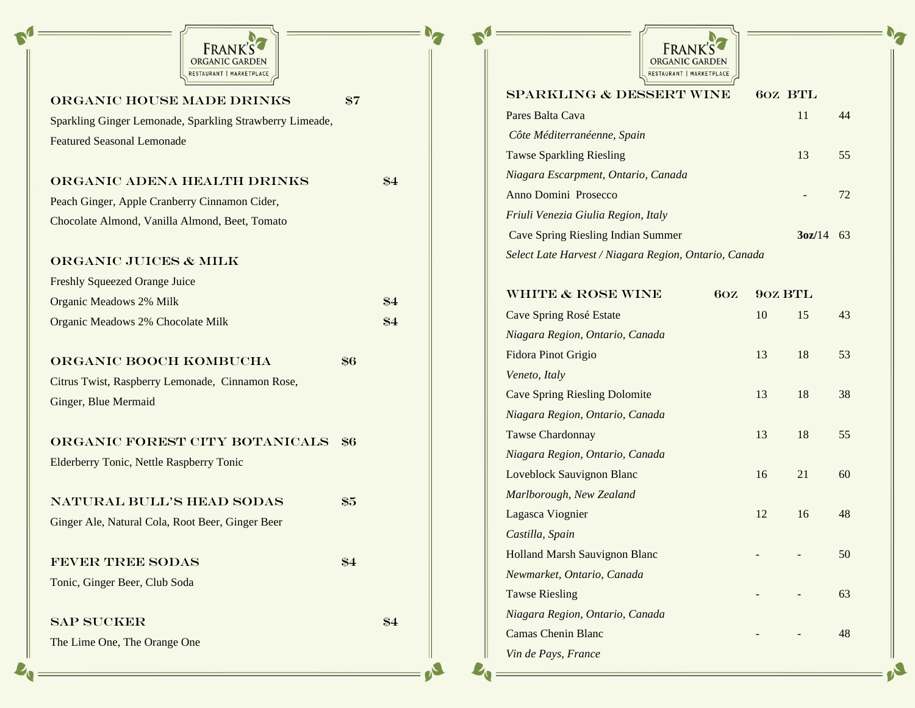

| ORGANIC HOUSE MADE DRINKS                                | $\$7$         |
|----------------------------------------------------------|---------------|
| Sparkling Ginger Lemonade, Sparkling Strawberry Limeade, |               |
| <b>Featured Seasonal Lemonade</b>                        |               |
|                                                          |               |
| ORGANIC ADENA HEALTH DRINKS                              | \$4           |
| Peach Ginger, Apple Cranberry Cinnamon Cider,            |               |
| Chocolate Almond, Vanilla Almond, Beet, Tomato           |               |
|                                                          |               |
| <b>ORGANIC JUICES &amp; MILK</b>                         |               |
| <b>Freshly Squeezed Orange Juice</b>                     |               |
| Organic Meadows 2% Milk                                  | \$4           |
| Organic Meadows 2% Chocolate Milk                        | \$4           |
|                                                          |               |
| ORGANIC BOOCH KOMBUCHA                                   | \$6           |
| Citrus Twist, Raspberry Lemonade, Cinnamon Rose,         |               |
| Ginger, Blue Mermaid                                     |               |
|                                                          |               |
| ORGANIC FOREST CITY BOTANICALS                           | \$6           |
| <b>Elderberry Tonic, Nettle Raspberry Tonic</b>          |               |
|                                                          |               |
| NATURAL BULL'S HEAD SODAS                                | \$5           |
| Ginger Ale, Natural Cola, Root Beer, Ginger Beer         |               |
|                                                          |               |
| <b>FEVER TREE SODAS</b>                                  | $\frac{1}{2}$ |
| Tonic, Ginger Beer, Club Soda                            |               |
|                                                          |               |
| <b>SAP SUCKER</b>                                        | \$4           |
| The Lime One, The Orange One                             |               |